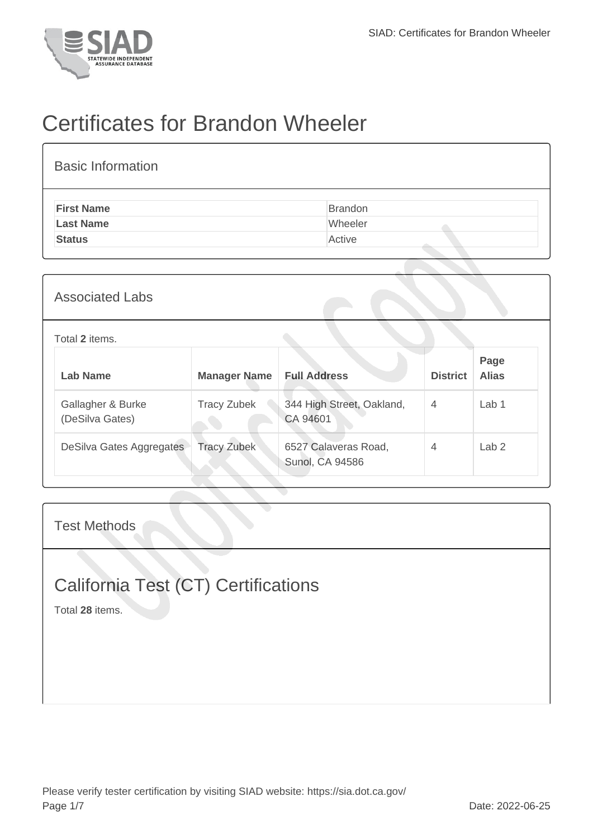

## Certificates for Brandon Wheeler

| <b>Basic Information</b> |         |
|--------------------------|---------|
| <b>First Name</b>        | Brandon |
| <b>Last Name</b>         | Wheeler |
| <b>Status</b>            | Active  |
|                          |         |

| <b>Associated Labs</b>               |                     |                                                |                 |                      |
|--------------------------------------|---------------------|------------------------------------------------|-----------------|----------------------|
| Total 2 items.                       |                     |                                                |                 |                      |
| <b>Lab Name</b>                      | <b>Manager Name</b> | <b>Full Address</b>                            | <b>District</b> | Page<br><b>Alias</b> |
| Gallagher & Burke<br>(DeSilva Gates) | <b>Tracy Zubek</b>  | 344 High Street, Oakland,<br>CA 94601          | $\overline{4}$  | Lab <sub>1</sub>     |
| DeSilva Gates Aggregates             | <b>Tracy Zubek</b>  | 6527 Calaveras Road,<br><b>Sunol, CA 94586</b> | $\overline{4}$  | Lab <sub>2</sub>     |

Test Methods

## California Test (CT) Certifications

Total **28** items.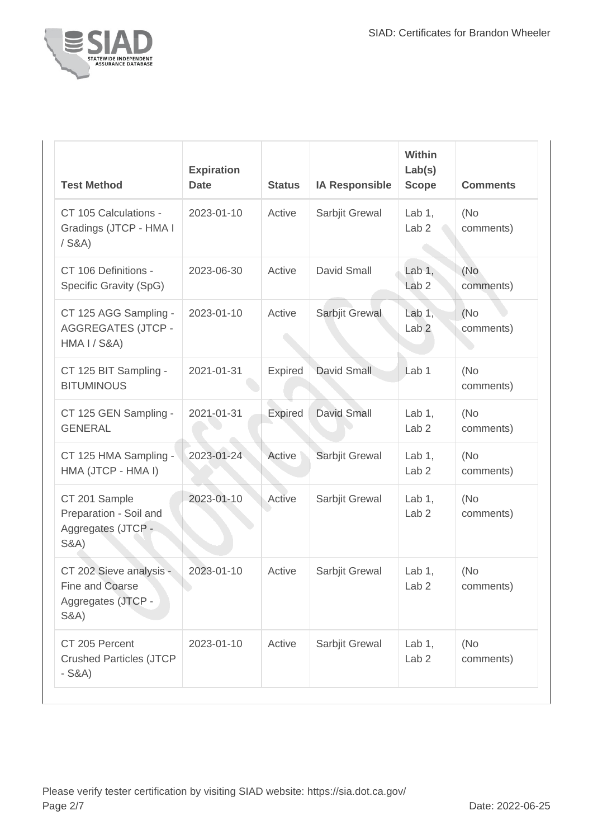

| <b>Test Method</b>                                                                   | <b>Expiration</b><br><b>Date</b> | <b>Status</b>  | <b>IA Responsible</b> | <b>Within</b><br>Lab(s)<br><b>Scope</b> | <b>Comments</b>   |
|--------------------------------------------------------------------------------------|----------------------------------|----------------|-----------------------|-----------------------------------------|-------------------|
| CT 105 Calculations -<br>Gradings (JTCP - HMA I<br>$/$ S&A)                          | 2023-01-10                       | Active         | Sarbjit Grewal        | Lab $1,$<br>Lab <sub>2</sub>            | (No<br>comments)  |
| CT 106 Definitions -<br>Specific Gravity (SpG)                                       | 2023-06-30                       | Active         | David Small           | Lab $1,$<br>Lab <sub>2</sub>            | (No<br>comments)  |
| CT 125 AGG Sampling -<br><b>AGGREGATES (JTCP -</b><br><b>HMA I / S&amp;A)</b>        | 2023-01-10                       | Active         | Sarbjit Grewal        | Lab $1,$<br>Lab <sub>2</sub>            | (No)<br>comments) |
| CT 125 BIT Sampling -<br><b>BITUMINOUS</b>                                           | 2021-01-31                       | <b>Expired</b> | David Small           | Lab <sub>1</sub>                        | (No<br>comments)  |
| CT 125 GEN Sampling -<br><b>GENERAL</b>                                              | 2021-01-31                       | <b>Expired</b> | <b>David Small</b>    | Lab $1$ ,<br>Lab <sub>2</sub>           | (No)<br>comments) |
| CT 125 HMA Sampling -<br>HMA (JTCP - HMA I)                                          | 2023-01-24                       | Active         | Sarbjit Grewal        | Lab $1$ ,<br>Lab <sub>2</sub>           | (No<br>comments)  |
| CT 201 Sample<br>Preparation - Soil and<br>Aggregates (JTCP -<br><b>S&amp;A)</b>     | 2023-01-10                       | Active         | Sarbjit Grewal        | Lab $1,$<br>Lab <sub>2</sub>            | (No)<br>comments) |
| CT 202 Sieve analysis -<br>Fine and Coarse<br>Aggregates (JTCP -<br><b>S&amp;A</b> ) | 2023-01-10                       | Active         | Sarbjit Grewal        | Lab $1,$<br>Lab <sub>2</sub>            | (No)<br>comments) |
| CT 205 Percent<br><b>Crushed Particles (JTCP</b><br>$-S&A)$                          | 2023-01-10                       | Active         | Sarbjit Grewal        | Lab $1$ ,<br>Lab <sub>2</sub>           | (No<br>comments)  |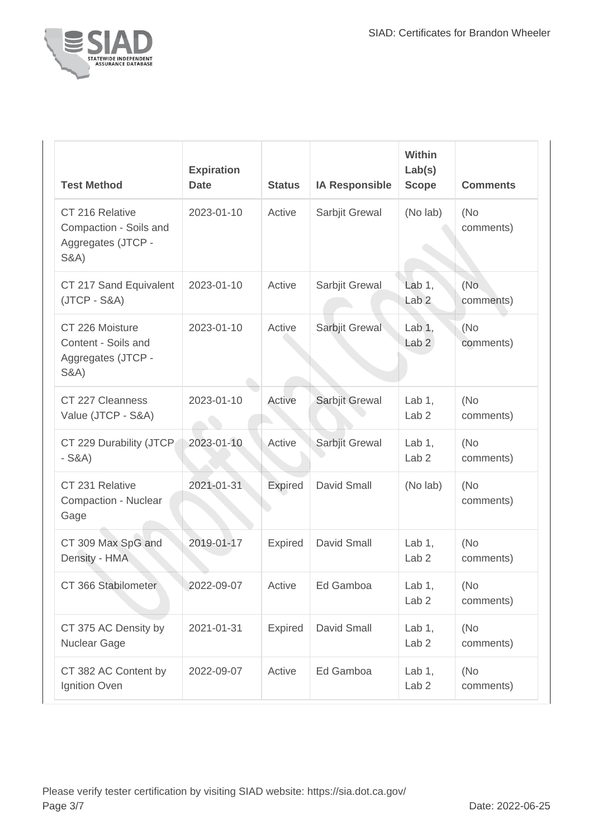

| <b>Test Method</b>                                                                 | <b>Expiration</b><br><b>Date</b> | <b>Status</b>  | <b>IA Responsible</b> | <b>Within</b><br>Lab(s)<br><b>Scope</b> | <b>Comments</b>  |
|------------------------------------------------------------------------------------|----------------------------------|----------------|-----------------------|-----------------------------------------|------------------|
| CT 216 Relative<br>Compaction - Soils and<br>Aggregates (JTCP -<br><b>S&amp;A)</b> | 2023-01-10                       | Active         | Sarbjit Grewal        | (No lab)                                | (No<br>comments) |
| CT 217 Sand Equivalent<br>$(JTCP - S&A)$                                           | 2023-01-10                       | Active         | Sarbjit Grewal        | Lab $1,$<br>Lab <sub>2</sub>            | (No<br>comments) |
| CT 226 Moisture<br>Content - Soils and<br>Aggregates (JTCP -<br><b>S&amp;A)</b>    | 2023-01-10                       | Active         | Sarbjit Grewal        | Lab $1,$<br>Lab <sub>2</sub>            | (No<br>comments) |
| CT 227 Cleanness<br>Value (JTCP - S&A)                                             | 2023-01-10                       | Active         | Sarbjit Grewal        | Lab $1$ ,<br>Lab <sub>2</sub>           | (No<br>comments) |
| CT 229 Durability (JTCP<br>$-S&A)$                                                 | 2023-01-10                       | Active         | Sarbjit Grewal        | Lab $1$ ,<br>Lab <sub>2</sub>           | (No<br>comments) |
| CT 231 Relative<br>Compaction - Nuclear<br>Gage                                    | 2021-01-31                       | <b>Expired</b> | David Small           | (No lab)                                | (No<br>comments) |
| CT 309 Max SpG and<br>Density - HMA                                                | 2019-01-17                       | Expired        | David Small           | Lab $1$ ,<br>Lab <sub>2</sub>           | (No<br>comments) |
| CT 366 Stabilometer                                                                | 2022-09-07                       | Active         | Ed Gamboa             | Lab $1$ ,<br>Lab <sub>2</sub>           | (No<br>comments) |
| CT 375 AC Density by<br>Nuclear Gage                                               | 2021-01-31                       | <b>Expired</b> | David Small           | Lab $1,$<br>Lab <sub>2</sub>            | (No<br>comments) |
| CT 382 AC Content by<br>Ignition Oven                                              | 2022-09-07                       | Active         | Ed Gamboa             | Lab $1,$<br>Lab <sub>2</sub>            | (No<br>comments) |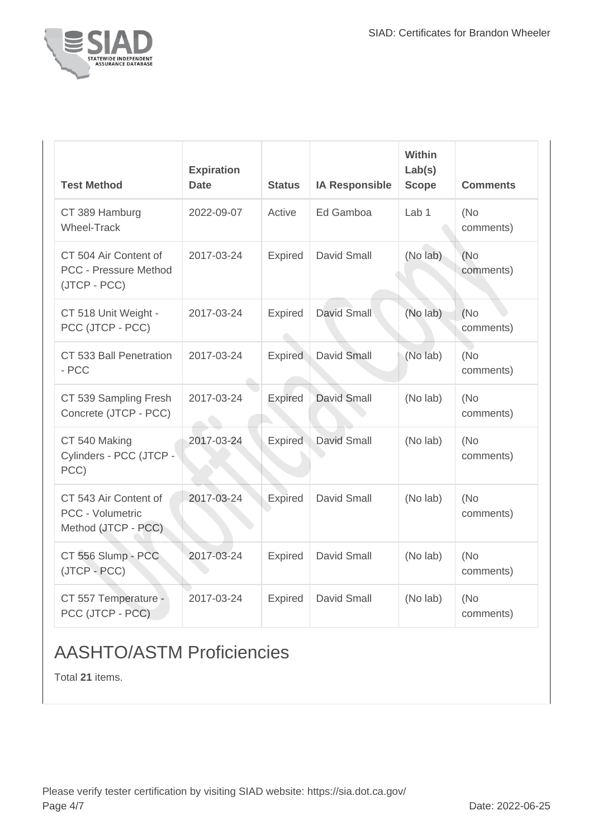

| <b>Test Method</b>                                                    | <b>Expiration</b><br><b>Date</b> | <b>Status</b>  | <b>IA Responsible</b> | Within<br>Lab(s)<br><b>Scope</b> | <b>Comments</b>   |
|-----------------------------------------------------------------------|----------------------------------|----------------|-----------------------|----------------------------------|-------------------|
| CT 389 Hamburg<br><b>Wheel-Track</b>                                  | 2022-09-07                       | Active         | Ed Gamboa             | Lab <sub>1</sub>                 | (No)<br>comments) |
| CT 504 Air Content of<br><b>PCC - Pressure Method</b><br>(JTCP - PCC) | 2017-03-24                       | Expired        | David Small           | (No lab)                         | (No<br>comments)  |
| CT 518 Unit Weight -<br>PCC (JTCP - PCC)                              | 2017-03-24                       | Expired        | <b>David Small</b>    | (No lab)                         | (No)<br>comments) |
| CT 533 Ball Penetration<br>$-$ PCC                                    | 2017-03-24                       | <b>Expired</b> | David Small           | (No lab)                         | (No)<br>comments) |
| CT 539 Sampling Fresh<br>Concrete (JTCP - PCC)                        | 2017-03-24                       | Expired        | <b>David Small</b>    | (No lab)                         | (No<br>comments)  |
| CT 540 Making<br>Cylinders - PCC (JTCP -<br>PCC)                      | 2017-03-24                       | <b>Expired</b> | David Small           | (No lab)                         | (No)<br>comments) |
| CT 543 Air Content of<br>PCC - Volumetric<br>Method (JTCP - PCC)      | 2017-03-24                       | Expired        | David Small           | (No lab)                         | (No<br>comments)  |
| CT 556 Slump - PCC<br>(JTCP - PCC)                                    | 2017-03-24                       | Expired        | David Small           | (No lab)                         | (No<br>comments)  |
| CT 557 Temperature -<br>PCC (JTCP - PCC)                              | 2017-03-24                       | Expired        | David Small           | (No lab)                         | (No<br>comments)  |

## AASHTO/ASTM Proficiencies

Total **21** items.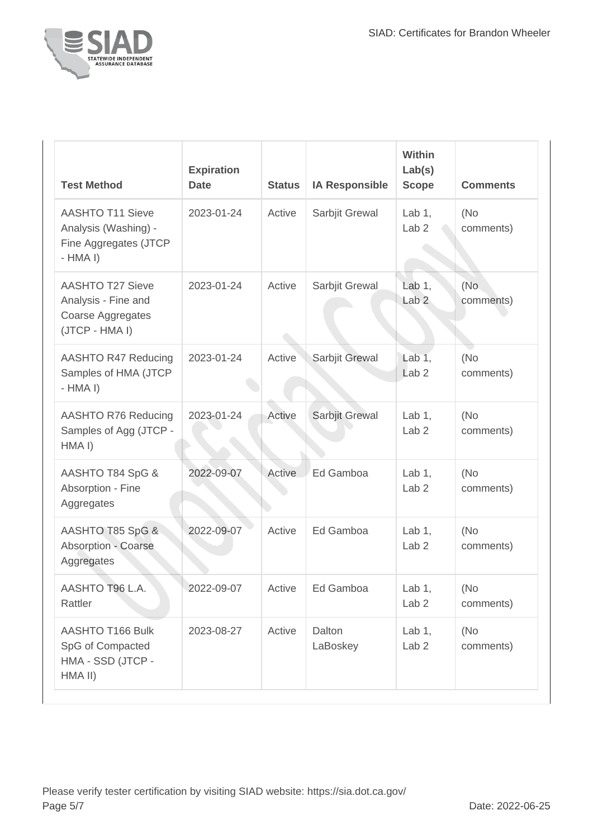

| <b>Test Method</b>                                                                    | <b>Expiration</b><br><b>Date</b> | <b>Status</b> | <b>IA Responsible</b> | <b>Within</b><br>Lab(s)<br><b>Scope</b> | <b>Comments</b>   |
|---------------------------------------------------------------------------------------|----------------------------------|---------------|-----------------------|-----------------------------------------|-------------------|
| <b>AASHTO T11 Sieve</b><br>Analysis (Washing) -<br>Fine Aggregates (JTCP<br>$-HMA I)$ | 2023-01-24                       | Active        | Sarbjit Grewal        | Lab $1,$<br>Lab <sub>2</sub>            | (No<br>comments)  |
| <b>AASHTO T27 Sieve</b><br>Analysis - Fine and<br>Coarse Aggregates<br>(JTCP - HMA I) | 2023-01-24                       | Active        | Sarbjit Grewal        | Lab $1$ ,<br>Lab <sub>2</sub>           | (No<br>comments)  |
| <b>AASHTO R47 Reducing</b><br>Samples of HMA (JTCP<br>$-HMA I)$                       | 2023-01-24                       | Active        | Sarbjit Grewal        | Lab $1,$<br>Lab <sub>2</sub>            | (No)<br>comments) |
| <b>AASHTO R76 Reducing</b><br>Samples of Agg (JTCP -<br>HMA I)                        | 2023-01-24                       | Active        | Sarbjit Grewal        | Lab $1$ ,<br>Lab <sub>2</sub>           | (No<br>comments)  |
| AASHTO T84 SpG &<br>Absorption - Fine<br>Aggregates                                   | 2022-09-07                       | Active        | Ed Gamboa             | Lab $1$ ,<br>Lab <sub>2</sub>           | (No<br>comments)  |
| AASHTO T85 SpG &<br><b>Absorption - Coarse</b><br>Aggregates                          | 2022-09-07                       | Active        | Ed Gamboa             | Lab $1$ ,<br>Lab <sub>2</sub>           | (No<br>comments)  |
| AASHTO T96 L.A.<br>Rattler                                                            | 2022-09-07                       | Active        | Ed Gamboa             | Lab $1,$<br>Lab <sub>2</sub>            | (No<br>comments)  |
| AASHTO T166 Bulk<br>SpG of Compacted<br>HMA - SSD (JTCP -<br>HMA II)                  | 2023-08-27                       | Active        | Dalton<br>LaBoskey    | Lab $1,$<br>Lab <sub>2</sub>            | (No<br>comments)  |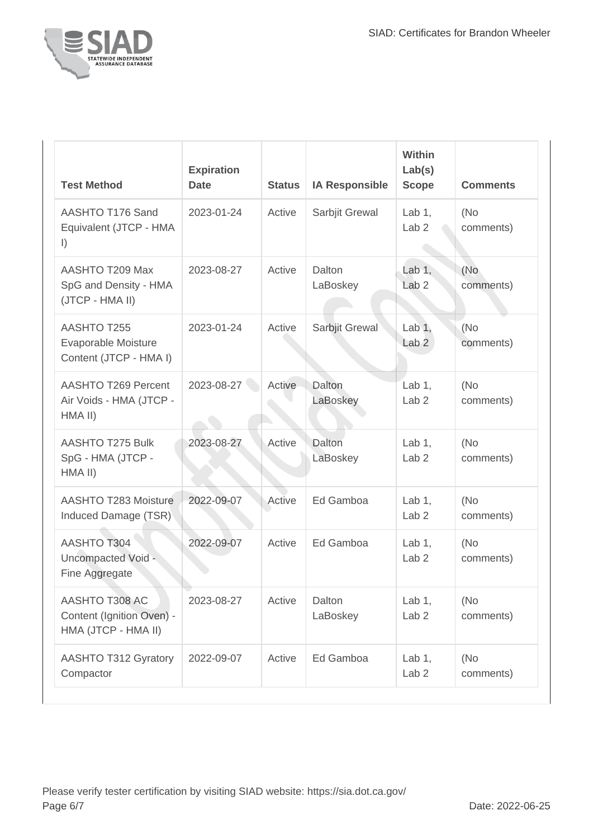

| <b>Test Method</b>                                                 | <b>Expiration</b><br><b>Date</b> | <b>Status</b> | <b>IA Responsible</b> | <b>Within</b><br>Lab(s)<br><b>Scope</b> | <b>Comments</b>  |
|--------------------------------------------------------------------|----------------------------------|---------------|-----------------------|-----------------------------------------|------------------|
| AASHTO T176 Sand<br>Equivalent (JTCP - HMA<br>$\vert$              | 2023-01-24                       | Active        | Sarbjit Grewal        | Lab $1,$<br>Lab <sub>2</sub>            | (No<br>comments) |
| AASHTO T209 Max<br>SpG and Density - HMA<br>(JTCP - HMA II)        | 2023-08-27                       | Active        | Dalton<br>LaBoskey    | Lab $1$ ,<br>Lab <sub>2</sub>           | (No<br>comments) |
| AASHTO T255<br>Evaporable Moisture<br>Content (JTCP - HMA I)       | 2023-01-24                       | Active        | Sarbjit Grewal        | Lab $1,$<br>Lab <sub>2</sub>            | (No<br>comments) |
| AASHTO T269 Percent<br>Air Voids - HMA (JTCP -<br>HMA II)          | 2023-08-27                       | Active        | Dalton<br>LaBoskey    | Lab $1,$<br>Lab <sub>2</sub>            | (No<br>comments) |
| <b>AASHTO T275 Bulk</b><br>SpG - HMA (JTCP -<br>HMA II)            | 2023-08-27                       | Active        | Dalton<br>LaBoskey    | Lab $1$ ,<br>Lab <sub>2</sub>           | (No<br>comments) |
| AASHTO T283 Moisture<br>Induced Damage (TSR)                       | 2022-09-07                       | Active        | Ed Gamboa             | Lab $1$ ,<br>Lab <sub>2</sub>           | (No<br>comments) |
| <b>AASHTO T304</b><br>Uncompacted Void -<br>Fine Aggregate         | 2022-09-07                       | Active        | Ed Gamboa             | Lab $1$ ,<br>Lab <sub>2</sub>           | (No<br>comments) |
| AASHTO T308 AC<br>Content (Ignition Oven) -<br>HMA (JTCP - HMA II) | 2023-08-27                       | Active        | Dalton<br>LaBoskey    | Lab $1,$<br>Lab <sub>2</sub>            | (No<br>comments) |
| <b>AASHTO T312 Gyratory</b><br>Compactor                           | 2022-09-07                       | Active        | Ed Gamboa             | Lab $1,$<br>Lab <sub>2</sub>            | (No<br>comments) |